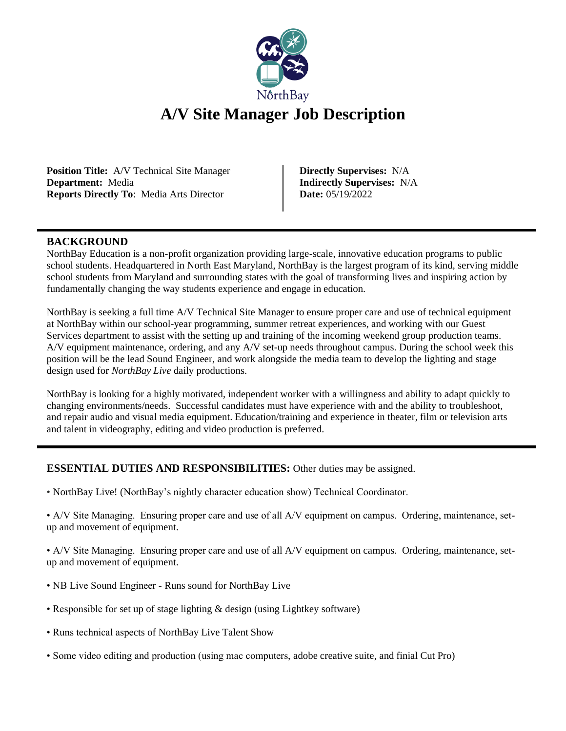

# **A/V Site Manager Job Description**

**Position Title:** A/V Technical Site Manager **Department:** Media **Reports Directly To**: Media Arts Director

**Directly Supervises:** N/A **Indirectly Supervises:** N/A **Date:** 05/19/2022

#### **BACKGROUND**

NorthBay Education is a non-profit organization providing large-scale, innovative education programs to public school students. Headquartered in North East Maryland, NorthBay is the largest program of its kind, serving middle school students from Maryland and surrounding states with the goal of transforming lives and inspiring action by fundamentally changing the way students experience and engage in education.

NorthBay is seeking a full time A/V Technical Site Manager to ensure proper care and use of technical equipment at NorthBay within our school-year programming, summer retreat experiences, and working with our Guest Services department to assist with the setting up and training of the incoming weekend group production teams. A/V equipment maintenance, ordering, and any A/V set-up needs throughout campus. During the school week this position will be the lead Sound Engineer, and work alongside the media team to develop the lighting and stage design used for *NorthBay Live* daily productions.

NorthBay is looking for a highly motivated, independent worker with a willingness and ability to adapt quickly to changing environments/needs. Successful candidates must have experience with and the ability to troubleshoot, and repair audio and visual media equipment. Education/training and experience in theater, film or television arts and talent in videography, editing and video production is preferred.

### **ESSENTIAL DUTIES AND RESPONSIBILITIES:** Other duties may be assigned.

• NorthBay Live! (NorthBay's nightly character education show) Technical Coordinator.

• A/V Site Managing. Ensuring proper care and use of all A/V equipment on campus. Ordering, maintenance, setup and movement of equipment.

• A/V Site Managing. Ensuring proper care and use of all A/V equipment on campus. Ordering, maintenance, setup and movement of equipment.

- NB Live Sound Engineer Runs sound for NorthBay Live
- Responsible for set up of stage lighting & design (using Lightkey software)
- Runs technical aspects of NorthBay Live Talent Show
- Some video editing and production (using mac computers, adobe creative suite, and finial Cut Pro)